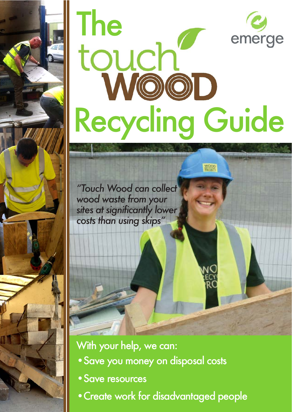

*"Touch Wood can collect wood waste from your sites at significantly lower costs than using skips"*

With your help, we can:

- Save you money on disposal costs
- Save resources
- Create work for disadvantaged people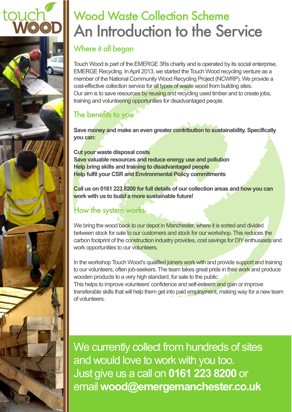# Wood Waste Collection Scheme An Introduction to the Service

### Where it all began

tour

Touch Wood is part of the EMERGE 3Rs charity and is operated by its social enterprise, EMERGE Recycling. In April 2013, we started the Touch Wood recycling venture as a member of the National Community Wood Recycling Project (NCWRP). We provide a cost-effective collection service for all types of waste wood from building sites. Our aim is to save resources by reusing and recycling used timber and to create jobs, training and volunteering opportunities for disadvantaged people.

### The benefits to you

**Save money and make an even greater contribution to sustainability. Specifically you can:** 

**Cut your waste disposal costs Save valuable resources and reduce energy use and pollution Help bring skills and training to disadvantaged people Help fulfil your CSR and Environmental Policy commitments** 

**Call us on 0161 223 8200 for full details of our collection areas and how you can work with us to build a more sustainable future!** 

### How the system works

We bring the wood back to our depot in Manchester, where it is sorted and divided between stock for sale to our customers and stock for our workshop. This reduces the carbon footprint of the construction industry provides, cost savings for DIY enthusiasts and work opportunities to our volunteers.

In the workshop Touch Wood's qualified joiners work with and provide support and training to our volunteers, often job-seekers. The team takes great pride in their work and produce wooden products to a very high standard, for sale to the public.

This helps to improve volunteers' confidence and self-esteem and gain or improve transferable skills that will help them get into paid employment, making way for a new team of volunteers.

We currently collect from hundreds of sites and would love to work with you too. Just&give&us&a&call&on&**0161%223%8200**&or& email&**wood@emergemanchester.co.uk**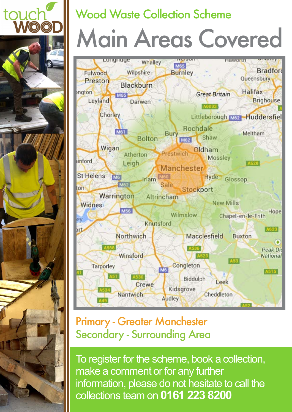

# Wood Waste Collection Scheme

# Main Areas Covered



## **Primary - Greater Manchester** Secondary - Surrounding Area

To register for the scheme, book a collection, make a comment or for any further information, please do not hesitate to call the collections&team&on **0161%223%8200**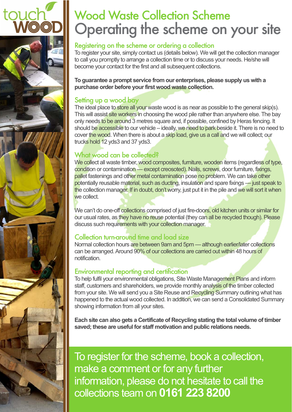

# **Wood Waste Collection Scheme** Operating the scheme on your site

#### Registering on the scheme or ordering a collection

To register your site, simply contact us (details below). We will get the collection manager to call you promptly to arrange a collection time or to discuss your needs. He/she will become your contact for the first and all subsequent collections.

To guarantee a prompt service from our enterprises, please supply us with a purchase order before your first wood waste collection.

#### Setting up a wood bay

The ideal place to store all your waste wood is as near as possible to the general skip(s). This will assist site workers in choosing the wood pile rather than anywhere else. The bay only needs to be around 3 metres square and, if possible, confined by Heras fencing. It should be accessible to our vehicle – ideally, we need to park beside it. There is no need to cover the wood. When there is about a skip load, give us a call and we will collect; our trucks hold 12 yds3 and 37 yds3.

#### What wood can be collected?

We collect all waste timber, wood composites, furniture, wooden items (regardless of type, condition or contamination — except creosoted). Nails, screws, door furniture, fixings, pallet fastenings and other metal contamination pose no problem. We can take other potentially reusable material, such as ducting, insulation and spare fixings — just speak to the collection manager. If in doubt, don't worry, just put it in the pile and we will sort it when we.collect

We can't do one-off collections comprised of just fire-doors, old kitchen units or similar for our usual rates, as they have no reuse potential (they can all be recycled though). Please discuss such requirements with your collection manager.

#### Collection turn-around time and load size

Normal collection hours are between 9am and 5pm — although earlier/later collections can be arranged. Around 90% of our collections are carried out within 48 hours of notification.&

#### Environmental reporting and certification

To help fulfil your environmental obligations, Site Waste Management Plans and inform staff, customers and shareholders, we provide monthly analysis of the timber collected from your site. We will send you a Site Reuse and Recycling Summary outlining what has happened to the actual wood collected. In addition, we can send a Consolidated Summary showing information from all your sites.

Each site can also gets a Certificate of Recycling stating the total volume of timber saved; these are useful for staff motivation and public relations needs.

To register for the scheme, book a collection, make a comment or for any further information, please do not hesitate to call the collections&team&on **0161%223%8200**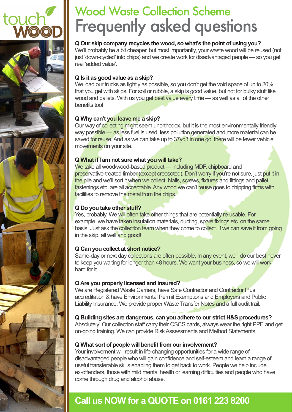

# **Wood Waste Collection Scheme** Frequently asked questions

#### **Q Our skip company recycles the wood, so what's the point of using you?**

We'll probably be a bit cheaper, but most importantly, your waste wood will be reused (not just 'down-cycled' into chips) and we create work for disadvantaged people — so you get real 'added value'.

#### **Q Is it as good value as a skip?**

We load our trucks as tightly as possible, so you don't get the void space of up to 20% that you get with skips. For soil or rubble, a skip is good value, but not for bulky stuff like wood and pallets. With us you get best value every time — as well as all of the other benefits too!

#### **Q Why can't you leave me a skip?**

Our way of collecting might seem unorthodox, but it is the most environmentally friendly way possible — as less fuel is used, less pollution generated and more material can be saved for reuse. And as we can take up to 37yd3 in one go, there will be fewer vehicle movements on your site.

#### **Q What if I am not sure what you will take?**

We take all wood/wood-based product — including MDF, chipboard and preservative-treated timber (except creosoted). Don't worry if you're not sure, just put it in the pile and we'll sort it when we collect. Nails, screws, fixtures and fittings and pallet fastenings etc. are all acceptable. Any wood we can't reuse goes to chipping firms with facilities to remove the metal from the chips.

#### **Q Do you take other stuff?**

Yes, probably. We will often take other things that are potentially re-usable. For example, we have taken insulation materials, ducting, spare fixings etc. on the same basis. Just ask the collection team when they come to collect. If we can save it from going in the skip, all well and good!

#### **Q Can you collect at short notice?**

Same-day or next day collections are often possible. In any event, we'll do our best never to keep you waiting for longer than 48 hours. We want your business, so we will work hard for it

#### **Q Are you properly licensed and insured?**

We are Registered Waste Carriers, have Safe Contractor and Contractor Plus accreditation & have Environmental Permit Exemptions and Employers and Public Liability Insurance. We provide proper Waste Transfer Notes and a full audit trail.

#### **Q Building sites are dangerous, can you adhere to our strict H&S procedures?**

Absolutely! Our collection staff carry their CSCS cards, always wear the right PPE and get on-going training. We can provide Risk Assessments and Method Statements.

#### **Q What sort of people will benefit from our involvement?**

Your involvement will result in life-changing opportunities for a wide range of disadvantaged people who will gain confidence and self-esteem and learn a range of useful transferable skills enabling them to get back to work. People we help include ex-offenders, those with mild mental health or learning difficulties and people who have come through drug and alcohol abuse.

### **Call us NOW for a QUOTE on 0161 223 8200**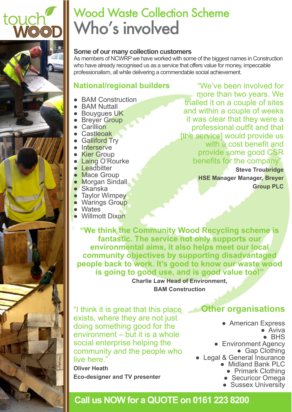

# **Wood Waste Collection Scheme** Who's involved

#### **Some of our many collection customers**

As members of NCWRP we have worked with some of the biggest names in Construction who have already recognised us as a service that offers value for money, impeccable professionalism, all while delivering a commendable social achievement.

#### **National/regional builders**

- BAM Construction
- BAM Nuttall
- Bouygues UK
- Breyer Group
- Carillion
- Castleoak
- Galliford Trv
- Interserve
- Kier Group
- Laing O'Rourke
- Leadbitter
- Mace Group
- Morgan Sindall
- $\bullet$  Skanska
- Tavlor Wimpey
- Warings Group
- Wates
- Willmott Dixon

"We've been involved for more than two years. We trialled it on a couple of sites and within a couple of weeks it was clear that they were a professional outfit and that [the service] would provide us with a cost benefit and provide some good CSR benefits for the company".

> **Steve Troubridge HSE Manager Manager, Breyer Group PLC**

**"We think the Community Wood Recycling scheme is** fantastic. The service not only supports our **environmental aims, it also helps meet our local** community objectives by supporting disadvantaged people back to work. It's good to know our waste wood **is going to good use, and is good value too!"** 

> **Charlie Law Head of Environment, BAM Construction**

"I think it is great that this place exists, where they are not just doing something good for the environment  $-$  but it is a whole social enterprise helping the community and the people who live here."

**Oliver%Heath Eco-designer and TV presenter** 

### **Other organisations**

- American Express
	- Aviva
	- $\bullet$  BHS
- Environment Agency • Gap Clothing
- Legal & General Insurance • Midland Bank PLC
	- Primark Clothing
	- Securicor Omega
	- Sussex University

### **Call us NOW for a QUOTE on 0161 223 8200**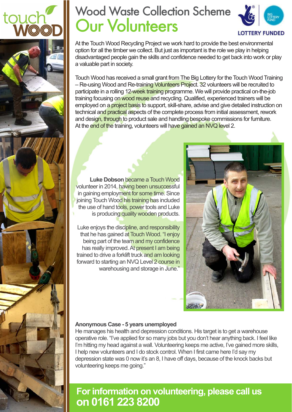

# Wood Waste Collection Scheme **Our Volunteers**



At the Touch Wood Recycling Project we work hard to provide the best environmental option for all the timber we collect. But just as important is the role we play in helping disadvantaged people gain the skills and confidence needed to get back into work or play a valuable part in society.

Touch Wood has received a small grant from The Big Lottery for the Touch Wood Training – Re-using Wood and Re-training Volunteers Project. 32 volunteers will be recruited to participate in a rolling 12-week training programme. We will provide practical on-the-job training focusing on wood reuse and recycling. Qualified, experienced trainers will be employed on a project basis to support, skill-share, advise and give detailed instruction on technical and practical aspects of the complete process from initial assessment, rework and design, through to product sale and handling bespoke commissions for furniture. At the end of the training, volunteers will have gained an NVQ level 2.



**Luke Dobson** became a Touch Wood volunteer in 2014, having been unsuccessful in gaining employment for some time. Since joining Touch Wood his training has included the use of hand tools, power tools and Luke is producing quality wooden products.

Luke enjoys the discipline, and responsibility that he has gained at Touch Wood. "I enjoy being part of the team and my confidence has really improved. At present I am being trained to drive a forklift truck and am looking forward to starting an NVQ Level 2 course in warehousing and storage in June."

#### Anonymous Case - 5 years unemployed

He manages his health and depression conditions. His target is to get a warehouse operative role. "I've applied for so many jobs but you don't hear anything back. I feel like I'm hitting my head against a wall. Volunteering keeps me active, I've gained more skills, I help new volunteers and I do stock control. When I first came here I'd say my depression state was 0 now it's an 8, I have off days, because of the knock backs but volunteering keeps me going."

### **For information on volunteering, please call us on%0161%223%8200%**